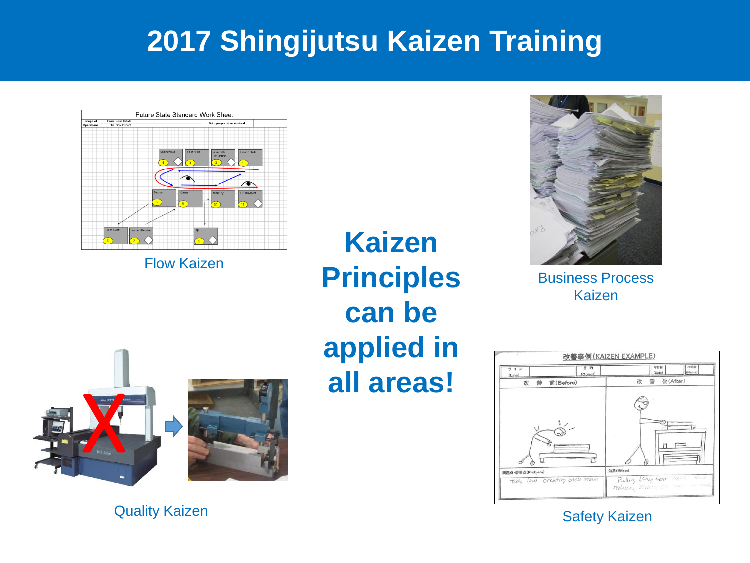

Flow Kaizen

**Kaizen Principles can be applied in all areas!**



Business Process Kaizen





**Quality Kaizen Safety Kaizen** Safety Kaizen Safety Kaizen Safety Kaizen Safety Kaizen Safety Kaizen Safety Kaizen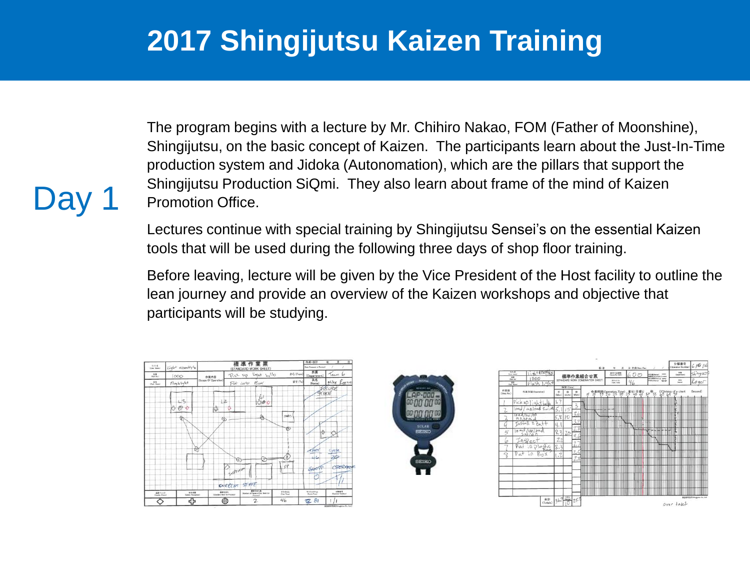The program begins with a lecture by Mr. Chihiro Nakao, FOM (Father of Moonshine), Shingijutsu, on the basic concept of Kaizen. The participants learn about the Just-In-Time production system and Jidoka (Autonomation), which are the pillars that support the Shingijutsu Production SiQmi. They also learn about frame of the mind of Kaizen Promotion Office.

Lectures continue with special training by Shingijutsu Sensei's on the essential Kaizen tools that will be used during the following three days of shop floor training.

Before leaving, lecture will be given by the Vice President of the Host facility to outline the lean journey and provide an overview of the Kaizen workshops and objective that participants will be studying.

| 5626<br>(Line Rome) | Light assembly by        | 標準作業票                                                |               |                                             |             | 作成·改訂<br>$\overline{1}$<br>Æ<br><b>Class Drawared or Revised?</b> |                           |
|---------------------|--------------------------|------------------------------------------------------|---------------|---------------------------------------------|-------------|-------------------------------------------------------------------|---------------------------|
| 39<br>(Part No.)    | 1000                     | 作業内容                                                 |               | Pick up light bolb                          | th-G (From) | 所属<br>(Department)                                                | Team 6                    |
| 88<br>(Part Name)   | Flaghlight               | (Sonee Of Operation)                                 | Put into Box  |                                             | まで (To      | 氏名<br>(Name)                                                      | Mike Kugiert<br>IOTURA    |
|                     | 13                       | 12                                                   |               | £<br>$-20$                                  |             | <b>STAKE</b>                                                      |                           |
|                     | k,                       | 協                                                    |               |                                             |             |                                                                   |                           |
|                     | জ                        | E                                                    |               | ♣                                           | PARTS       |                                                                   |                           |
|                     |                          |                                                      |               |                                             | 西           | ė                                                                 |                           |
|                     |                          |                                                      |               |                                             |             |                                                                   |                           |
|                     | ₽                        |                                                      |               |                                             |             | <b>HALT</b>                                                       | Cycle                     |
|                     |                          |                                                      | 187           | ⊙                                           | ŵ           | 116                                                               | 24                        |
|                     |                          |                                                      | BACKE CYLON   |                                             | FP          | Sto                                                               | OPERADE                   |
|                     |                          |                                                      |               |                                             |             |                                                                   |                           |
| 品質チェック              | 安全注意                     | <b>HRYAS</b><br><b>Closedand North for Processel</b> | EVERENT STATE | 推算中央の数<br>Number of Fieces of Std. West-In- | 99) 944     | 0.051946<br><b>Cools</b> Time?                                    | 介護審理<br>(Operator Number) |
| (Gowley Otenid)     | (Safety Pressuring)<br>ብ | Ø                                                    |               | Pracauc<br>$\mathbf{z}$                     | 46          | 军 81                                                              |                           |

Da



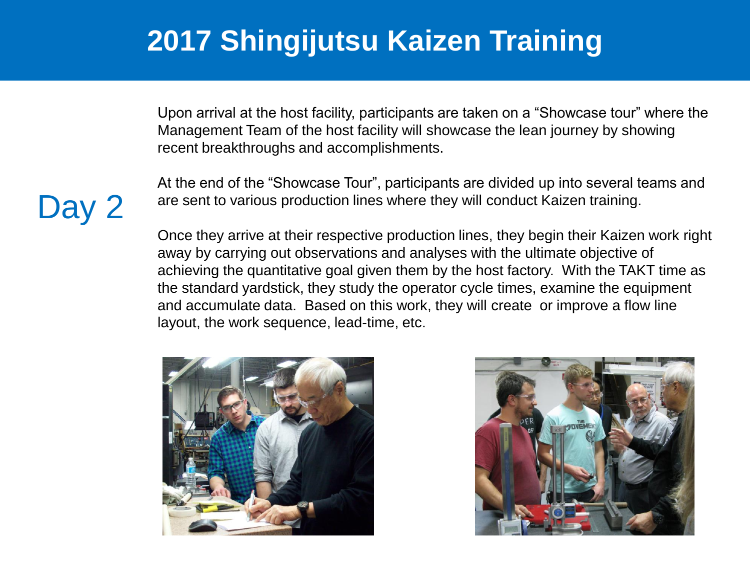Upon arrival at the host facility, participants are taken on a "Showcase tour" where the Management Team of the host facility will showcase the lean journey by showing recent breakthroughs and accomplishments.

At the end of the "Showcase Tour", participants are divided up into several teams and are sent to various production lines where they will conduct Kaizen training.

Once they arrive at their respective production lines, they begin their Kaizen work right away by carrying out observations and analyses with the ultimate objective of achieving the quantitative goal given them by the host factory. With the TAKT time as the standard yardstick, they study the operator cycle times, examine the equipment and accumulate data. Based on this work, they will create or improve a flow line layout, the work sequence, lead-time, etc.





## Day 2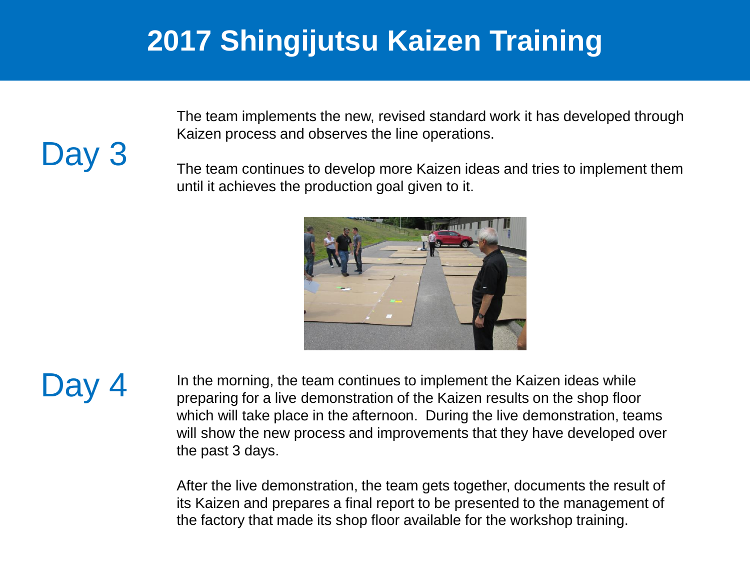The team implements the new, revised standard work it has developed through Kaizen process and observes the line operations.

The team continues to develop more Kaizen ideas and tries to implement them until it achieves the production goal given to it.



 $\Box$ av  $\overline{4}$  In the morning, the team continues to implement the Kaizen ideas while preparing for a live demonstration of the Kaizen results on the shop floor which will take place in the afternoon. During the live demonstration, teams will show the new process and improvements that they have developed over the past 3 days.

> After the live demonstration, the team gets together, documents the result of its Kaizen and prepares a final report to be presented to the management of the factory that made its shop floor available for the workshop training.

Day 3